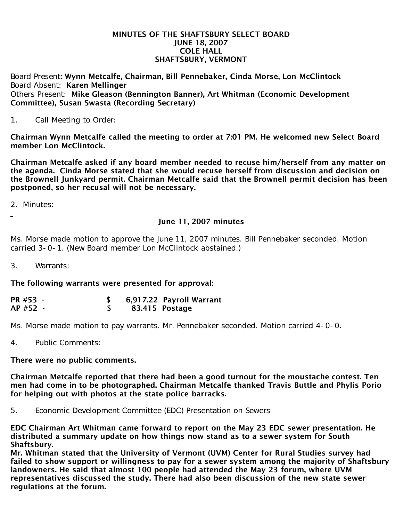## MINUTES OF THE SHAFTSBURY SELECT BOARD JUNE 18, 2007 COLE HALL SHAFTSBURY, VERMONT

Board Present: Wynn Metcalfe, Chairman, Bill Pennebaker, Cinda Morse, Lon McClintock Board Absent: Karen Mellinger Others Present: Mike Gleason (Bennington Banner), Art Whitman (Economic Development Committee), Susan Swasta (Recording Secretary)

1. Call Meeting to Order:

Chairman Wynn Metcalfe called the meeting to order at 7:01 PM. He welcomed new Select Board member Lon McClintock.

Chairman Metcalfe asked if any board member needed to recuse him/herself from any matter on the agenda. Cinda Morse stated that she would recuse herself from discussion and decision on the Brownell Junkyard permit. Chairman Metcalfe said that the Brownell permit decision has been postponed, so her recusal will not be necessary.

2. Minutes:

## June 11, 2007 minutes

Ms. Morse made motion to approve the June 11, 2007 minutes. Bill Pennebaker seconded. Motion carried 3-0-1. (New Board member Lon McClintock abstained.)

3. Warrants:

The following warrants were presented for approval:

| PR #53 - | 6,917.22 Payroll Warrant |
|----------|--------------------------|
| AP #52 - | 83.415 Postage           |

Ms. Morse made motion to pay warrants. Mr. Pennebaker seconded. Motion carried 4-0-0.

4. Public Comments:

## There were no public comments.

Chairman Metcalfe reported that there had been a good turnout for the moustache contest. Ten men had come in to be photographed. Chairman Metcalfe thanked Travis Buttle and Phylis Porio for helping out with photos at the state police barracks.

5. Economic Development Committee (EDC) Presentation on Sewers

EDC Chairman Art Whitman came forward to report on the May 23 EDC sewer presentation. He distributed a summary update on how things now stand as to a sewer system for South Shaftsbury.

Mr. Whitman stated that the University of Vermont (UVM) Center for Rural Studies survey had failed to show support or willingness to pay for a sewer system among the majority of Shaftsbury landowners. He said that almost 100 people had attended the May 23 forum, where UVM representatives discussed the study. There had also been discussion of the new state sewer regulations at the forum.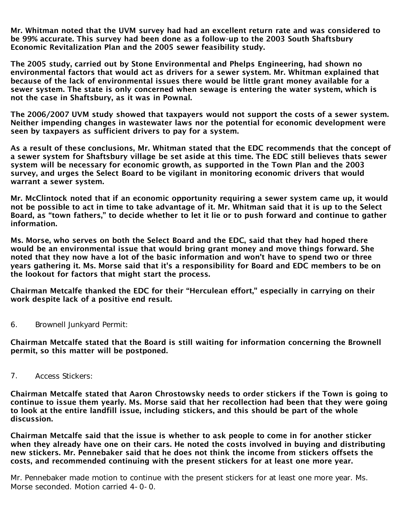Mr. Whitman noted that the UVM survey had had an excellent return rate and was considered to be 99% accurate. This survey had been done as a follow-up to the 2003 South Shaftsbury Economic Revitalization Plan and the 2005 sewer feasibility study.

The 2005 study, carried out by Stone Environmental and Phelps Engineering, had shown no environmental factors that would act as drivers for a sewer system. Mr. Whitman explained that because of the lack of environmental issues there would be little grant money available for a sewer system. The state is only concerned when sewage is entering the water system, which is not the case in Shaftsbury, as it was in Pownal.

The 2006/2007 UVM study showed that taxpayers would not support the costs of a sewer system. Neither impending changes in wastewater laws nor the potential for economic development were seen by taxpayers as sufficient drivers to pay for a system.

As a result of these conclusions, Mr. Whitman stated that the EDC recommends that the concept of a sewer system for Shaftsbury village be set aside at this time. The EDC still believes thats sewer system will be necessary for economic growth, as supported in the Town Plan and the 2003 survey, and urges the Select Board to be vigilant in monitoring economic drivers that would warrant a sewer system.

Mr. McClintock noted that if an economic opportunity requiring a sewer system came up, it would not be possible to act in time to take advantage of it. Mr. Whitman said that it is up to the Select Board, as "town fathers," to decide whether to let it lie or to push forward and continue to gather information.

Ms. Morse, who serves on both the Select Board and the EDC, said that they had hoped there would be an environmental issue that would bring grant money and move things forward. She noted that they now have a lot of the basic information and won't have to spend two or three years gathering it. Ms. Morse said that it's a responsibility for Board and EDC members to be on the lookout for factors that might start the process.

Chairman Metcalfe thanked the EDC for their "Herculean effort," especially in carrying on their work despite lack of a positive end result.

6. Brownell Junkyard Permit:

Chairman Metcalfe stated that the Board is still waiting for information concerning the Brownell permit, so this matter will be postponed.

7. Access Stickers:

Chairman Metcalfe stated that Aaron Chrostowsky needs to order stickers if the Town is going to continue to issue them yearly. Ms. Morse said that her recollection had been that they were going to look at the entire landfill issue, including stickers, and this should be part of the whole discussion.

Chairman Metcalfe said that the issue is whether to ask people to come in for another sticker when they already have one on their cars. He noted the costs involved in buying and distributing new stickers. Mr. Pennebaker said that he does not think the income from stickers offsets the costs, and recommended continuing with the present stickers for at least one more year.

Mr. Pennebaker made motion to continue with the present stickers for at least one more year. Ms. Morse seconded. Motion carried 4-0-0.